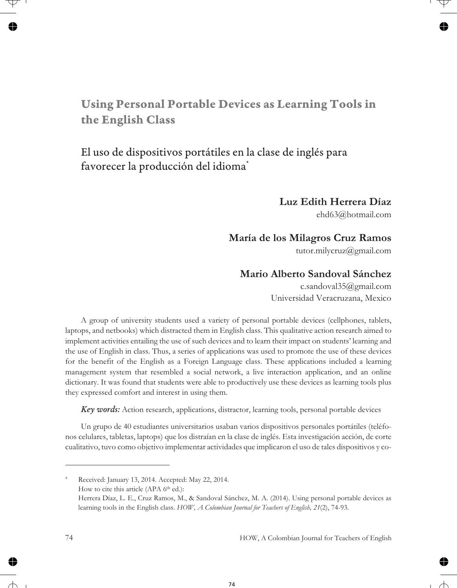# **Using Personal Portable Devices as Learning Tools in the English Class**

## El uso de dispositivos portátiles en la clase de inglés para favorecer la producción del idioma\*

#### **Luz Edith Herrera Díaz**

ehd63@hotmail.com

#### **María de los Milagros Cruz Ramos**

tutor.milycruz@gmail.com

### **Mario Alberto Sandoval Sánchez**

c.sandoval35@gmail.com Universidad Veracruzana, Mexico

A group of university students used a variety of personal portable devices (cellphones, tablets, laptops, and netbooks) which distracted them in English class. This qualitative action research aimed to implement activities entailing the use of such devices and to learn their impact on students' learning and the use of English in class. Thus, a series of applications was used to promote the use of these devices for the benefit of the English as a Foreign Language class. These applications included a learning management system that resembled a social network, a live interaction application, and an online dictionary. It was found that students were able to productively use these devices as learning tools plus they expressed comfort and interest in using them.

*Key words:* Action research, applications, distractor, learning tools, personal portable devices

Un grupo de 40 estudiantes universitarios usaban varios dispositivos personales portátiles (teléfonos celulares, tabletas, laptops) que los distraían en la clase de inglés. Esta investigación acción, de corte cualitativo, tuvo como objetivo implementar actividades que implicaron el uso de tales dispositivos y co-

Received: January 13, 2014. Accepted: May 22, 2014. How to cite this article (APA 6<sup>th</sup> ed.): Herrera Díaz, L. E., Cruz Ramos, M., & Sandoval Sánchez, M. A. (2014). Using personal portable devices as learning tools in the English class. *HOW, A Colombian Journal for Teachers of English, 21*(2), 74-93.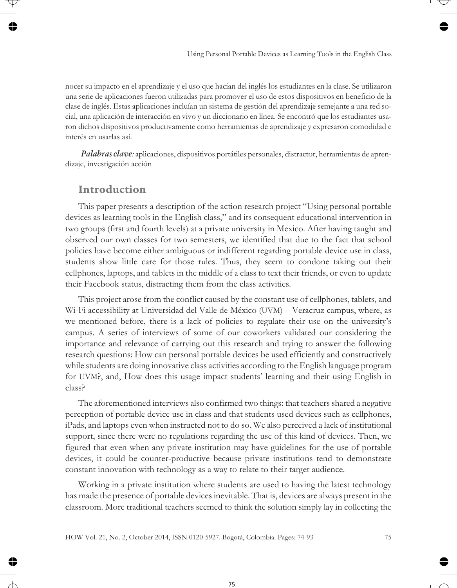nocer su impacto en el aprendizaje y el uso que hacían del inglés los estudiantes en la clase. Se utilizaron una serie de aplicaciones fueron utilizadas para promover el uso de estos dispositivos en beneficio de la clase de inglés. Estas aplicaciones incluían un sistema de gestión del aprendizaje semejante a una red social, una aplicación de interacción en vivo y un diccionario en línea. Se encontró que los estudiantes usaron dichos dispositivos productivamente como herramientas de aprendizaje y expresaron comodidad e interés en usarlas así.

*Palabras clave:* aplicaciones, dispositivos portátiles personales, distractor, herramientas de aprendizaje, investigación acción

#### **Introduction**

This paper presents a description of the action research project "Using personal portable devices as learning tools in the English class," and its consequent educational intervention in two groups (first and fourth levels) at a private university in Mexico. After having taught and observed our own classes for two semesters, we identified that due to the fact that school policies have become either ambiguous or indifferent regarding portable device use in class, students show little care for those rules. Thus, they seem to condone taking out their cellphones, laptops, and tablets in the middle of a class to text their friends, or even to update their Facebook status, distracting them from the class activities.

This project arose from the conflict caused by the constant use of cellphones, tablets, and Wi-Fi accessibility at Universidad del Valle de México (UVM) – Veracruz campus, where, as we mentioned before, there is a lack of policies to regulate their use on the university's campus. A series of interviews of some of our coworkers validated our considering the importance and relevance of carrying out this research and trying to answer the following research questions: How can personal portable devices be used efficiently and constructively while students are doing innovative class activities according to the English language program for UVM?, and, How does this usage impact students' learning and their using English in class?

The aforementioned interviews also confirmed two things: that teachers shared a negative perception of portable device use in class and that students used devices such as cellphones, iPads, and laptops even when instructed not to do so. We also perceived a lack of institutional support, since there were no regulations regarding the use of this kind of devices. Then, we figured that even when any private institution may have guidelines for the use of portable devices, it could be counter-productive because private institutions tend to demonstrate constant innovation with technology as a way to relate to their target audience.

Working in a private institution where students are used to having the latest technology has made the presence of portable devices inevitable. That is, devices are always present in the classroom. More traditional teachers seemed to think the solution simply lay in collecting the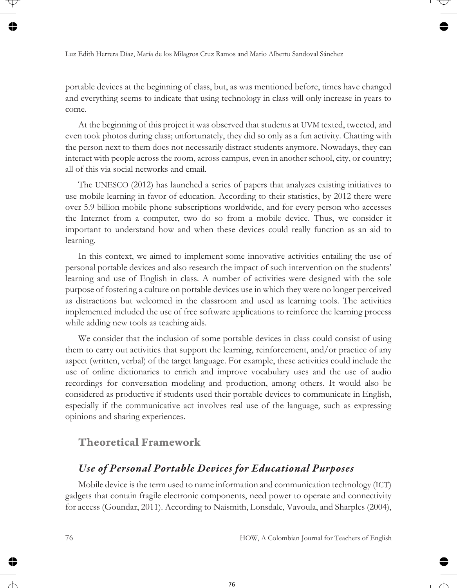portable devices at the beginning of class, but, as was mentioned before, times have changed and everything seems to indicate that using technology in class will only increase in years to come.

At the beginning of this project it was observed that students at UVM texted, tweeted, and even took photos during class; unfortunately, they did so only as a fun activity. Chatting with the person next to them does not necessarily distract students anymore. Nowadays, they can interact with people across the room, across campus, even in another school, city, or country; all of this via social networks and email.

The UNESCO (2012) has launched a series of papers that analyzes existing initiatives to use mobile learning in favor of education. According to their statistics, by 2012 there were over 5.9 billion mobile phone subscriptions worldwide, and for every person who accesses the Internet from a computer, two do so from a mobile device. Thus, we consider it important to understand how and when these devices could really function as an aid to learning.

In this context, we aimed to implement some innovative activities entailing the use of personal portable devices and also research the impact of such intervention on the students' learning and use of English in class. A number of activities were designed with the sole purpose of fostering a culture on portable devices use in which they were no longer perceived as distractions but welcomed in the classroom and used as learning tools. The activities implemented included the use of free software applications to reinforce the learning process while adding new tools as teaching aids.

We consider that the inclusion of some portable devices in class could consist of using them to carry out activities that support the learning, reinforcement, and/or practice of any aspect (written, verbal) of the target language. For example, these activities could include the use of online dictionaries to enrich and improve vocabulary uses and the use of audio recordings for conversation modeling and production, among others. It would also be considered as productive if students used their portable devices to communicate in English, especially if the communicative act involves real use of the language, such as expressing opinions and sharing experiences.

### **Theoretical Framework**

## *Use of Personal Portable Devices for Educational Purposes*

Mobile device is the term used to name information and communication technology (ICT) gadgets that contain fragile electronic components, need power to operate and connectivity for access (Goundar, 2011). According to Naismith, Lonsdale, Vavoula, and Sharples (2004),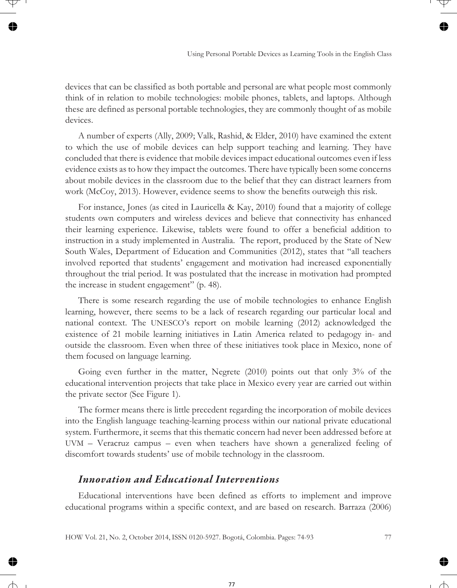devices that can be classified as both portable and personal are what people most commonly think of in relation to mobile technologies: mobile phones, tablets, and laptops. Although these are defined as personal portable technologies, they are commonly thought of as mobile devices.

A number of experts (Ally, 2009; Valk, Rashid, & Elder, 2010) have examined the extent to which the use of mobile devices can help support teaching and learning. They have concluded that there is evidence that mobile devices impact educational outcomes even if less evidence exists as to how they impact the outcomes. There have typically been some concerns about mobile devices in the classroom due to the belief that they can distract learners from work (McCoy, 2013). However, evidence seems to show the benefits outweigh this risk.

For instance, Jones (as cited in Lauricella & Kay, 2010) found that a majority of college students own computers and wireless devices and believe that connectivity has enhanced their learning experience. Likewise, tablets were found to offer a beneficial addition to instruction in a study implemented in Australia. The report, produced by the State of New South Wales, Department of Education and Communities (2012), states that "all teachers involved reported that students' engagement and motivation had increased exponentially throughout the trial period. It was postulated that the increase in motivation had prompted the increase in student engagement" (p. 48).

There is some research regarding the use of mobile technologies to enhance English learning, however, there seems to be a lack of research regarding our particular local and national context. The UNESCO's report on mobile learning (2012) acknowledged the existence of 21 mobile learning initiatives in Latin America related to pedagogy in- and outside the classroom. Even when three of these initiatives took place in Mexico, none of them focused on language learning.

Going even further in the matter, Negrete (2010) points out that only 3% of the educational intervention projects that take place in Mexico every year are carried out within the private sector (See Figure 1).

The former means there is little precedent regarding the incorporation of mobile devices into the English language teaching-learning process within our national private educational system. Furthermore, it seems that this thematic concern had never been addressed before at UVM – Veracruz campus – even when teachers have shown a generalized feeling of discomfort towards students' use of mobile technology in the classroom.

#### *Innovation and Educational Interventions*

Educational interventions have been defined as efforts to implement and improve educational programs within a specific context, and are based on research. Barraza (2006)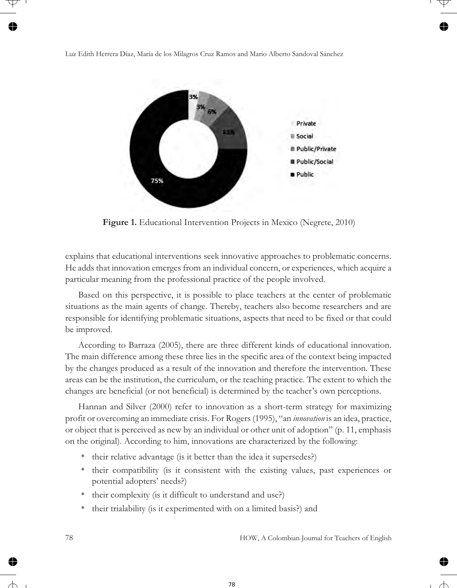

**Figure 1.** Educational Intervention Projects in Mexico (Negrete, 2010)

explains that educational interventions seek innovative approaches to problematic concerns. He adds that innovation emerges from an individual concern, or experiences, which acquire a particular meaning from the professional practice of the people involved.

Based on this perspective, it is possible to place teachers at the center of problematic situations as the main agents of change. Thereby, teachers also become researchers and are responsible for identifying problematic situations, aspects that need to be fixed or that could be improved.

According to Barraza (2005), there are three different kinds of educational innovation. The main difference among these three lies in the specific area of the context being impacted by the changes produced as a result of the innovation and therefore the intervention. These areas can be the institution, the curriculum, or the teaching practice. The extent to which the changes are beneficial (or not beneficial) is determined by the teacher's own perceptions.

Hannan and Silver (2000) refer to innovation as a short-term strategy for maximizing profit or overcoming an immediate crisis. For Rogers (1995), "an *innovation* is an idea, practice, or object that is perceived as new by an individual or other unit of adoption" (p. 11, emphasis on the original). According to him, innovations are characterized by the following:

- their relative advantage (is it better than the idea it supersedes?)
- their compatibility (is it consistent with the existing values, past experiences or potential adopters' needs?)
- their complexity (is it difficult to understand and use?)
- their trialability (is it experimented with on a limited basis?) and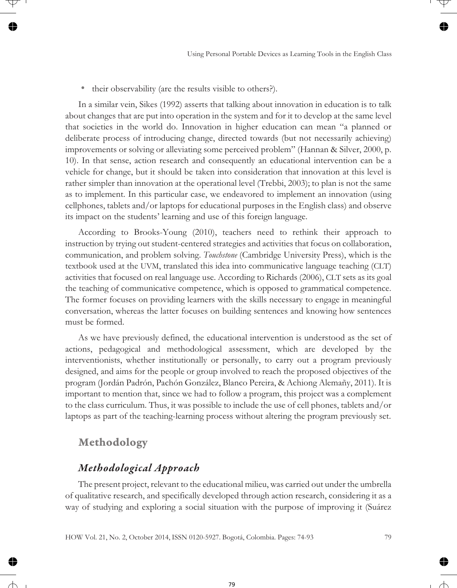• their observability (are the results visible to others?).

In a similar vein, Sikes (1992) asserts that talking about innovation in education is to talk about changes that are put into operation in the system and for it to develop at the same level that societies in the world do. Innovation in higher education can mean "a planned or deliberate process of introducing change, directed towards (but not necessarily achieving) improvements or solving or alleviating some perceived problem" (Hannan & Silver, 2000, p. 10). In that sense, action research and consequently an educational intervention can be a vehicle for change, but it should be taken into consideration that innovation at this level is rather simpler than innovation at the operational level (Trebbi, 2003); to plan is not the same as to implement. In this particular case, we endeavored to implement an innovation (using cellphones, tablets and/or laptops for educational purposes in the English class) and observe its impact on the students' learning and use of this foreign language.

According to Brooks-Young (2010), teachers need to rethink their approach to instruction by trying out student-centered strategies and activities that focus on collaboration, communication, and problem solving. *Touchstone* (Cambridge University Press), which is the textbook used at the UVM, translated this idea into communicative language teaching (CLT) activities that focused on real language use. According to Richards (2006), CLT sets as its goal the teaching of communicative competence, which is opposed to grammatical competence. The former focuses on providing learners with the skills necessary to engage in meaningful conversation, whereas the latter focuses on building sentences and knowing how sentences must be formed.

As we have previously defined, the educational intervention is understood as the set of actions, pedagogical and methodological assessment, which are developed by the interventionists, whether institutionally or personally, to carry out a program previously designed, and aims for the people or group involved to reach the proposed objectives of the program (Jordán Padrón, Pachón González, Blanco Pereira, & Achiong Alemañy, 2011). It is important to mention that, since we had to follow a program, this project was a complement to the class curriculum. Thus, it was possible to include the use of cell phones, tablets and/or laptops as part of the teaching-learning process without altering the program previously set.

### **Methodology**

### *Methodological Approach*

The present project, relevant to the educational milieu, was carried out under the umbrella of qualitative research, and specifically developed through action research, considering it as a way of studying and exploring a social situation with the purpose of improving it (Suárez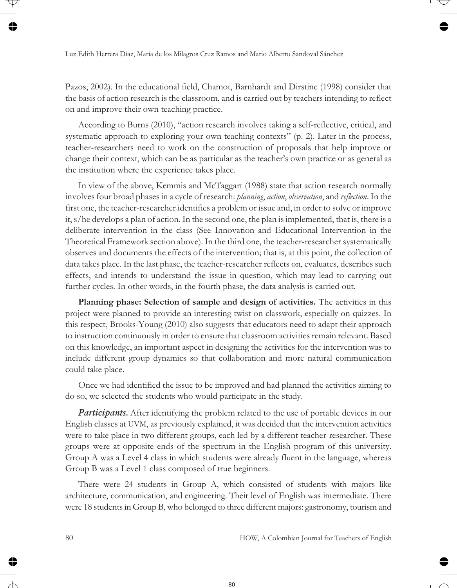Pazos, 2002). In the educational field, Chamot, Barnhardt and Dirstine (1998) consider that the basis of action research is the classroom, and is carried out by teachers intending to reflect on and improve their own teaching practice.

According to Burns (2010), "action research involves taking a self-reflective, critical, and systematic approach to exploring your own teaching contexts" (p. 2). Later in the process, teacher-researchers need to work on the construction of proposals that help improve or change their context, which can be as particular as the teacher's own practice or as general as the institution where the experience takes place.

In view of the above, Kemmis and McTaggart (1988) state that action research normally involves four broad phases in a cycle of research: *planning*, *action*, *observation*, and *reflection*. In the first one, the teacher-researcher identifies a problem or issue and, in order to solve or improve it, s/he develops a plan of action. In the second one, the plan is implemented, that is, there is a deliberate intervention in the class (See Innovation and Educational Intervention in the Theoretical Framework section above). In the third one, the teacher-researcher systematically observes and documents the effects of the intervention; that is, at this point, the collection of data takes place. In the last phase, the teacher-researcher reflects on, evaluates, describes such effects, and intends to understand the issue in question, which may lead to carrying out further cycles. In other words, in the fourth phase, the data analysis is carried out.

**Planning phase: Selection of sample and design of activities.** The activities in this project were planned to provide an interesting twist on classwork, especially on quizzes. In this respect, Brooks-Young (2010) also suggests that educators need to adapt their approach to instruction continuously in order to ensure that classroom activities remain relevant. Based on this knowledge, an important aspect in designing the activities for the intervention was to include different group dynamics so that collaboration and more natural communication could take place.

Once we had identified the issue to be improved and had planned the activities aiming to do so, we selected the students who would participate in the study.

*Participants.* After identifying the problem related to the use of portable devices in our English classes at UVM, as previously explained, it was decided that the intervention activities were to take place in two different groups, each led by a different teacher-researcher. These groups were at opposite ends of the spectrum in the English program of this university. Group A was a Level 4 class in which students were already fluent in the language, whereas Group B was a Level 1 class composed of true beginners.

There were 24 students in Group A, which consisted of students with majors like architecture, communication, and engineering. Their level of English was intermediate. There were 18 students in Group B, who belonged to three different majors: gastronomy, tourism and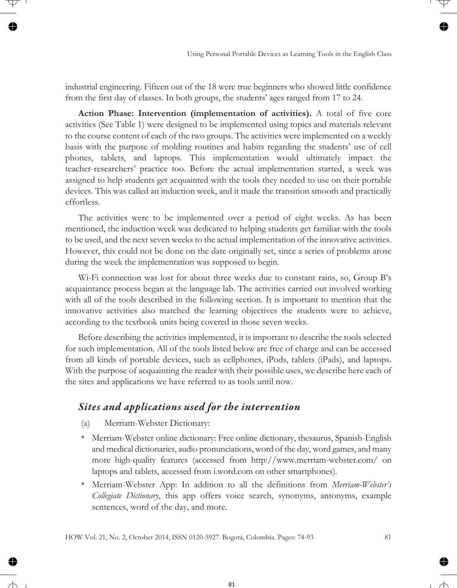industrial engineering. Fifteen out of the 18 were true beginners who showed little confidence from the first day of classes. In both groups, the students' ages ranged from 17 to 24.

**Action Phase: Intervention (implementation of activities).** A total of five core activities (See Table 1) were designed to be implemented using topics and materials relevant to the course content of each of the two groups. The activities were implemented on a weekly basis with the purpose of molding routines and habits regarding the students' use of cell phones, tablets, and laptops. This implementation would ultimately impact the teacher-researchers' practice too. Before the actual implementation started, a week was assigned to help students get acquainted with the tools they needed to use on their portable devices. This was called an induction week, and it made the transition smooth and practically effortless.

The activities were to be implemented over a period of eight weeks. As has been mentioned, the induction week was dedicated to helping students get familiar with the tools to be used, and the next seven weeks to the actual implementation of the innovative activities. However, this could not be done on the date originally set, since a series of problems arose during the week the implementation was supposed to begin.

Wi-Fi connection was lost for about three weeks due to constant rains, so, Group B's acquaintance process began at the language lab. The activities carried out involved working with all of the tools described in the following section. It is important to mention that the innovative activities also matched the learning objectives the students were to achieve, according to the textbook units being covered in those seven weeks.

Before describing the activities implemented, it is important to describe the tools selected for such implementation. All of the tools listed below are free of charge and can be accessed from all kinds of portable devices, such as cellphones, iPods, tablets (iPads), and laptops. With the purpose of acquainting the reader with their possible uses, we describe here each of the sites and applications we have referred to as tools until now.

## *Sites and applications used for the intervention*

- (a) Merriam-Webster Dictionary:
- Merriam-Webster online dictionary: Free online dictionary, thesaurus, Spanish-English and medical dictionaries, audio pronunciations, word of the day, word games, and many more high-quality features (accessed from http://www.merriam-webster.com/ on laptops and tablets, accessed from i.word.com on other smartphones).
- Merriam-Webster App: In addition to all the definitions from *Merriam-Webster's Collegiate Dictionary*, this app offers voice search, synonyms, antonyms, example sentences, word of the day, and more.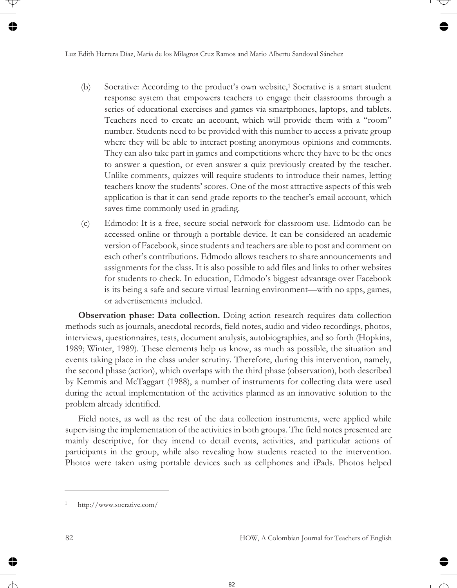- (b) Socrative: According to the product's own website,1 Socrative is a smart student response system that empowers teachers to engage their classrooms through a series of educational exercises and games via smartphones, laptops, and tablets. Teachers need to create an account, which will provide them with a "room" number. Students need to be provided with this number to access a private group where they will be able to interact posting anonymous opinions and comments. They can also take part in games and competitions where they have to be the ones to answer a question, or even answer a quiz previously created by the teacher. Unlike comments, quizzes will require students to introduce their names, letting teachers know the students' scores. One of the most attractive aspects of this web application is that it can send grade reports to the teacher's email account, which saves time commonly used in grading.
- (c) Edmodo: It is a free, secure social network for classroom use. Edmodo can be accessed online or through a portable device. It can be considered an academic version of Facebook, since students and teachers are able to post and comment on each other's contributions. Edmodo allows teachers to share announcements and assignments for the class. It is also possible to add files and links to other websites for students to check. In education, Edmodo's biggest advantage over Facebook is its being a safe and secure virtual learning environment—with no apps, games, or advertisements included.

**Observation phase: Data collection.** Doing action research requires data collection methods such as journals, anecdotal records, field notes, audio and video recordings, photos, interviews, questionnaires, tests, document analysis, autobiographies, and so forth (Hopkins, 1989; Winter, 1989). These elements help us know, as much as possible, the situation and events taking place in the class under scrutiny. Therefore, during this intervention, namely, the second phase (action), which overlaps with the third phase (observation), both described by Kemmis and McTaggart (1988), a number of instruments for collecting data were used during the actual implementation of the activities planned as an innovative solution to the problem already identified.

Field notes, as well as the rest of the data collection instruments, were applied while supervising the implementation of the activities in both groups. The field notes presented are mainly descriptive, for they intend to detail events, activities, and particular actions of participants in the group, while also revealing how students reacted to the intervention. Photos were taken using portable devices such as cellphones and iPads. Photos helped

http://www.socrative.com/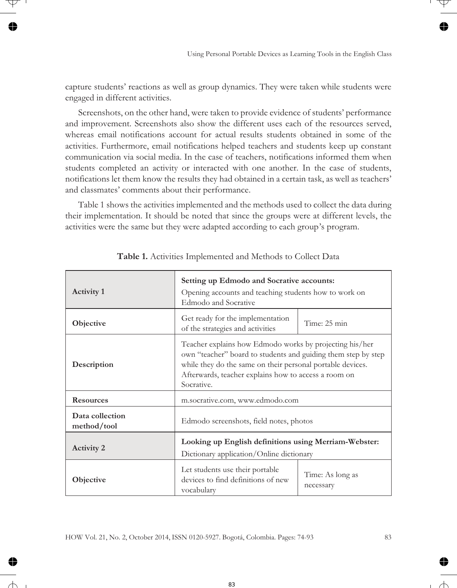capture students' reactions as well as group dynamics. They were taken while students were engaged in different activities.

Screenshots, on the other hand, were taken to provide evidence of students' performance and improvement. Screenshots also show the different uses each of the resources served, whereas email notifications account for actual results students obtained in some of the activities. Furthermore, email notifications helped teachers and students keep up constant communication via social media. In the case of teachers, notifications informed them when students completed an activity or interacted with one another. In the case of students, notifications let them know the results they had obtained in a certain task, as well as teachers' and classmates' comments about their performance.

Table 1 shows the activities implemented and the methods used to collect the data during their implementation. It should be noted that since the groups were at different levels, the activities were the same but they were adapted according to each group's program.

| <b>Activity 1</b>              | Setting up Edmodo and Socrative accounts:<br>Opening accounts and teaching students how to work on<br>Edmodo and Socrative                                                                                                                                   |                               |  |
|--------------------------------|--------------------------------------------------------------------------------------------------------------------------------------------------------------------------------------------------------------------------------------------------------------|-------------------------------|--|
| Objective                      | Get ready for the implementation<br>of the strategies and activities                                                                                                                                                                                         | Time: 25 min                  |  |
| Description                    | Teacher explains how Edmodo works by projecting his/her<br>own "teacher" board to students and guiding them step by step<br>while they do the same on their personal portable devices.<br>Afterwards, teacher explains how to access a room on<br>Socrative. |                               |  |
| <b>Resources</b>               | m.socrative.com, www.edmodo.com                                                                                                                                                                                                                              |                               |  |
| Data collection<br>method/tool | Edmodo screenshots, field notes, photos                                                                                                                                                                                                                      |                               |  |
| <b>Activity 2</b>              | Looking up English definitions using Merriam-Webster:<br>Dictionary application/Online dictionary                                                                                                                                                            |                               |  |
| Objective                      | Let students use their portable<br>devices to find definitions of new<br>vocabulary                                                                                                                                                                          | Time: As long as<br>necessary |  |

**Table 1.** Activities Implemented and Methods to Collect Data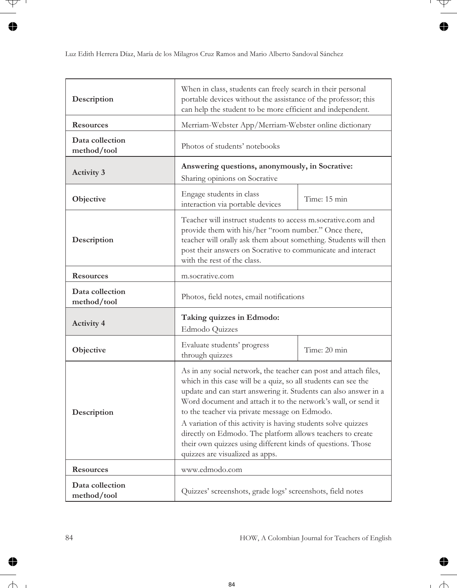| Description                    | When in class, students can freely search in their personal<br>portable devices without the assistance of the professor; this<br>can help the student to be more efficient and independent.                                                                                                                                                                                                                                                                                                                                                               |              |  |
|--------------------------------|-----------------------------------------------------------------------------------------------------------------------------------------------------------------------------------------------------------------------------------------------------------------------------------------------------------------------------------------------------------------------------------------------------------------------------------------------------------------------------------------------------------------------------------------------------------|--------------|--|
| <b>Resources</b>               | Merriam-Webster App/Merriam-Webster online dictionary                                                                                                                                                                                                                                                                                                                                                                                                                                                                                                     |              |  |
| Data collection<br>method/tool | Photos of students' notebooks                                                                                                                                                                                                                                                                                                                                                                                                                                                                                                                             |              |  |
| <b>Activity 3</b>              | Answering questions, anonymously, in Socrative:<br>Sharing opinions on Socrative                                                                                                                                                                                                                                                                                                                                                                                                                                                                          |              |  |
| Objective                      | Engage students in class<br>interaction via portable devices                                                                                                                                                                                                                                                                                                                                                                                                                                                                                              | Time: 15 min |  |
| Description                    | Teacher will instruct students to access m.socrative.com and<br>provide them with his/her "room number." Once there,<br>teacher will orally ask them about something. Students will then<br>post their answers on Socrative to communicate and interact<br>with the rest of the class.                                                                                                                                                                                                                                                                    |              |  |
| <b>Resources</b>               | m.socrative.com                                                                                                                                                                                                                                                                                                                                                                                                                                                                                                                                           |              |  |
| Data collection<br>method/tool | Photos, field notes, email notifications                                                                                                                                                                                                                                                                                                                                                                                                                                                                                                                  |              |  |
| <b>Activity 4</b>              | Taking quizzes in Edmodo:<br>Edmodo Quizzes                                                                                                                                                                                                                                                                                                                                                                                                                                                                                                               |              |  |
| Objective                      | Evaluate students' progress<br>through quizzes                                                                                                                                                                                                                                                                                                                                                                                                                                                                                                            | Time: 20 min |  |
| Description                    | As in any social network, the teacher can post and attach files,<br>which in this case will be a quiz, so all students can see the<br>update and can start answering it. Students can also answer in a<br>Word document and attach it to the network's wall, or send it<br>to the teacher via private message on Edmodo.<br>A variation of this activity is having students solve quizzes<br>directly on Edmodo. The platform allows teachers to create<br>their own quizzes using different kinds of questions. Those<br>quizzes are visualized as apps. |              |  |
| <b>Resources</b>               | www.edmodo.com                                                                                                                                                                                                                                                                                                                                                                                                                                                                                                                                            |              |  |
| Data collection<br>method/tool | Quizzes' screenshots, grade logs' screenshots, field notes                                                                                                                                                                                                                                                                                                                                                                                                                                                                                                |              |  |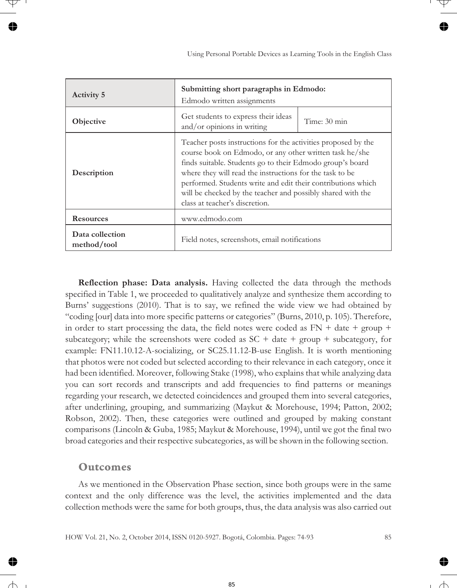| <b>Activity 5</b>              | Submitting short paragraphs in Edmodo:<br>Edmodo written assignments                                                                                                                                                                                                                                                                                                                                               |              |  |
|--------------------------------|--------------------------------------------------------------------------------------------------------------------------------------------------------------------------------------------------------------------------------------------------------------------------------------------------------------------------------------------------------------------------------------------------------------------|--------------|--|
| Objective                      | Get students to express their ideas<br>and/or opinions in writing                                                                                                                                                                                                                                                                                                                                                  | Time: 30 min |  |
| Description                    | Teacher posts instructions for the activities proposed by the<br>course book on Edmodo, or any other written task he/she<br>finds suitable. Students go to their Edmodo group's board<br>where they will read the instructions for the task to be<br>performed. Students write and edit their contributions which<br>will be checked by the teacher and possibly shared with the<br>class at teacher's discretion. |              |  |
| <b>Resources</b>               | www.edmodo.com                                                                                                                                                                                                                                                                                                                                                                                                     |              |  |
| Data collection<br>method/tool | Field notes, screenshots, email notifications                                                                                                                                                                                                                                                                                                                                                                      |              |  |

**Reflection phase: Data analysis.** Having collected the data through the methods specified in Table 1, we proceeded to qualitatively analyze and synthesize them according to Burns' suggestions (2010). That is to say, we refined the wide view we had obtained by "coding [our] data into more specific patterns or categories" (Burns, 2010, p. 105). Therefore, in order to start processing the data, the field notes were coded as  $FN +$  date + group + subcategory; while the screenshots were coded as  $SC + date + group + subcategory$ , for example: FN11.10.12-A-socializing, or SC25.11.12-B-use English. It is worth mentioning that photos were not coded but selected according to their relevance in each category, once it had been identified. Moreover, following Stake (1998), who explains that while analyzing data you can sort records and transcripts and add frequencies to find patterns or meanings regarding your research, we detected coincidences and grouped them into several categories, after underlining, grouping, and summarizing (Maykut & Morehouse, 1994; Patton, 2002; Robson, 2002). Then, these categories were outlined and grouped by making constant comparisons (Lincoln & Guba, 1985; Maykut & Morehouse, 1994), until we got the final two broad categories and their respective subcategories, as will be shown in the following section.

#### **Outcomes**

As we mentioned in the Observation Phase section, since both groups were in the same context and the only difference was the level, the activities implemented and the data collection methods were the same for both groups, thus, the data analysis was also carried out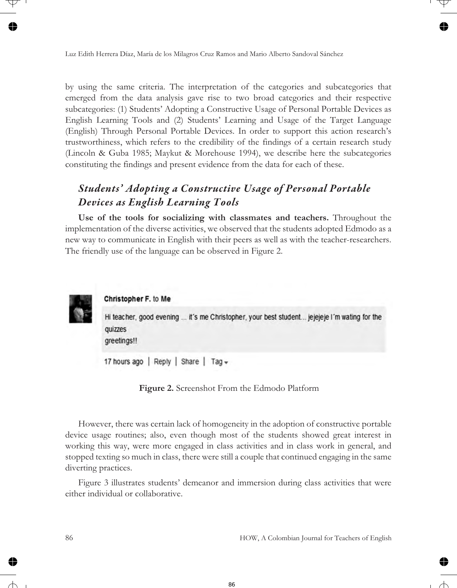by using the same criteria. The interpretation of the categories and subcategories that emerged from the data analysis gave rise to two broad categories and their respective subcategories: (1) Students' Adopting a Constructive Usage of Personal Portable Devices as English Learning Tools and (2) Students' Learning and Usage of the Target Language (English) Through Personal Portable Devices. In order to support this action research's trustworthiness, which refers to the credibility of the findings of a certain research study (Lincoln & Guba 1985; Maykut & Morehouse 1994), we describe here the subcategories constituting the findings and present evidence from the data for each of these.

## *Students' Adopting a Constructive Usage of Personal Portable Devices as English Learning Tools*

**Use of the tools for socializing with classmates and teachers.** Throughout the implementation of the diverse activities, we observed that the students adopted Edmodo as a new way to communicate in English with their peers as well as with the teacher-researchers. The friendly use of the language can be observed in Figure 2.



**Figure 2.** Screenshot From the Edmodo Platform

However, there was certain lack of homogeneity in the adoption of constructive portable device usage routines; also, even though most of the students showed great interest in working this way, were more engaged in class activities and in class work in general, and stopped texting so much in class, there were still a couple that continued engaging in the same diverting practices.

Figure 3 illustrates students' demeanor and immersion during class activities that were either individual or collaborative.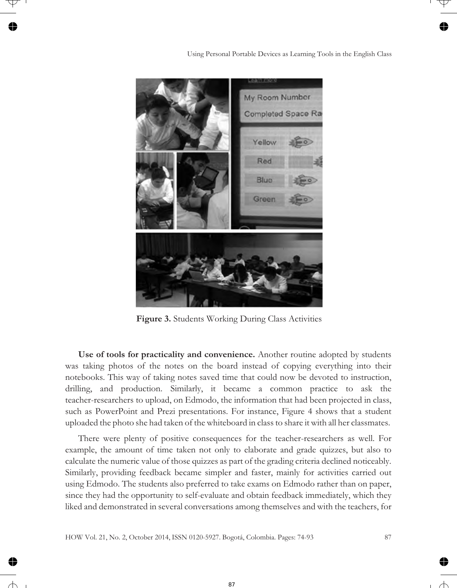

**Figure 3.** Students Working During Class Activities

**Use of tools for practicality and convenience.** Another routine adopted by students was taking photos of the notes on the board instead of copying everything into their notebooks. This way of taking notes saved time that could now be devoted to instruction, drilling, and production. Similarly, it became a common practice to ask the teacher-researchers to upload, on Edmodo, the information that had been projected in class, such as PowerPoint and Prezi presentations. For instance, Figure 4 shows that a student uploaded the photo she had taken of the whiteboard in class to share it with all her classmates.

There were plenty of positive consequences for the teacher-researchers as well. For example, the amount of time taken not only to elaborate and grade quizzes, but also to calculate the numeric value of those quizzes as part of the grading criteria declined noticeably. Similarly, providing feedback became simpler and faster, mainly for activities carried out using Edmodo. The students also preferred to take exams on Edmodo rather than on paper, since they had the opportunity to self-evaluate and obtain feedback immediately, which they liked and demonstrated in several conversations among themselves and with the teachers, for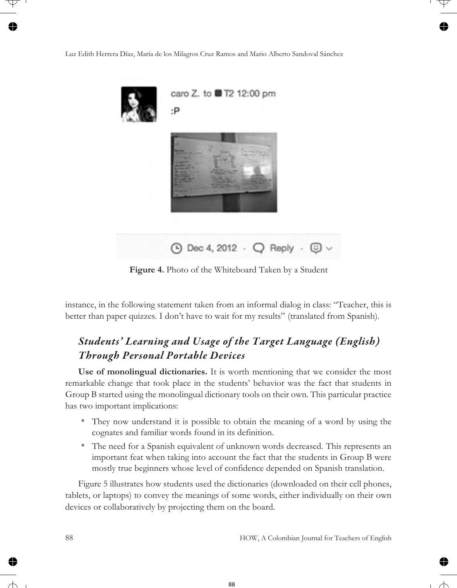

**Figure 4.** Photo of the Whiteboard Taken by a Student

instance, in the following statement taken from an informal dialog in class: "Teacher, this is better than paper quizzes. I don't have to wait for my results" (translated from Spanish).

## *Students' Learning and Usage of the Target Language (English) Through Personal Portable Devices*

**Use of monolingual dictionaries.** It is worth mentioning that we consider the most remarkable change that took place in the students' behavior was the fact that students in Group B started using the monolingual dictionary tools on their own. This particular practice has two important implications:

- They now understand it is possible to obtain the meaning of a word by using the cognates and familiar words found in its definition.
- The need for a Spanish equivalent of unknown words decreased. This represents an important feat when taking into account the fact that the students in Group B were mostly true beginners whose level of confidence depended on Spanish translation.

Figure 5 illustrates how students used the dictionaries (downloaded on their cell phones, tablets, or laptops) to convey the meanings of some words, either individually on their own devices or collaboratively by projecting them on the board.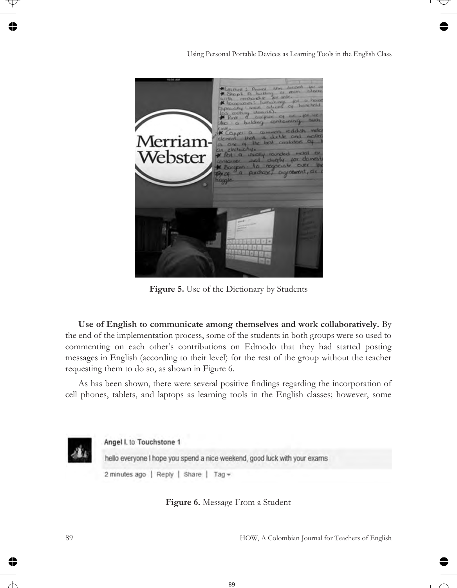

**Figure 5.** Use of the Dictionary by Students

**Use of English to communicate among themselves and work collaboratively.** By the end of the implementation process, some of the students in both groups were so used to commenting on each other's contributions on Edmodo that they had started posting messages in English (according to their level) for the rest of the group without the teacher requesting them to do so, as shown in Figure 6.

As has been shown, there were several positive findings regarding the incorporation of cell phones, tablets, and laptops as learning tools in the English classes; however, some



**Figure 6.** Message From a Student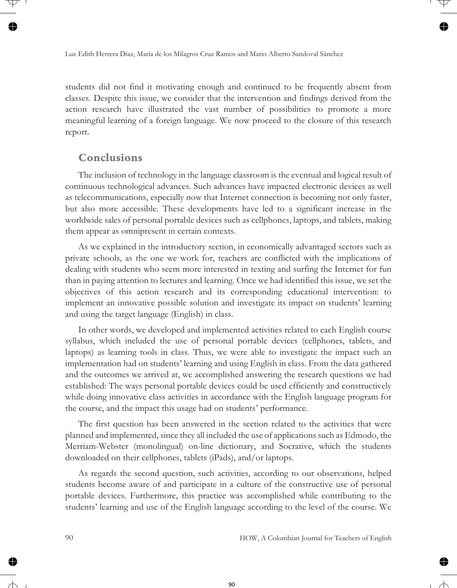students did not find it motivating enough and continued to be frequently absent from classes. Despite this issue, we consider that the intervention and findings derived from the action research have illustrated the vast number of possibilities to promote a more meaningful learning of a foreign language. We now proceed to the closure of this research report.

### **Conclusions**

The inclusion of technology in the language classroom is the eventual and logical result of continuous technological advances. Such advances have impacted electronic devices as well as telecommunications, especially now that Internet connection is becoming not only faster, but also more accessible. These developments have led to a significant increase in the worldwide sales of personal portable devices such as cellphones, laptops, and tablets, making them appear as omnipresent in certain contexts.

As we explained in the introductory section, in economically advantaged sectors such as private schools, as the one we work for, teachers are conflicted with the implications of dealing with students who seem more interested in texting and surfing the Internet for fun than in paying attention to lectures and learning. Once we had identified this issue, we set the objectives of this action research and its corresponding educational intervention: to implement an innovative possible solution and investigate its impact on students' learning and using the target language (English) in class.

In other words, we developed and implemented activities related to each English course syllabus, which included the use of personal portable devices (cellphones, tablets, and laptops) as learning tools in class. Thus, we were able to investigate the impact such an implementation had on students' learning and using English in class. From the data gathered and the outcomes we arrived at, we accomplished answering the research questions we had established: The ways personal portable devices could be used efficiently and constructively while doing innovative class activities in accordance with the English language program for the course, and the impact this usage had on students' performance.

The first question has been answered in the section related to the activities that were planned and implemented, since they all included the use of applications such as Edmodo, the Merriam-Webster (monolingual) on-line dictionary, and Socrative, which the students downloaded on their cellphones, tablets (iPads), and/or laptops.

As regards the second question, such activities, according to our observations, helped students become aware of and participate in a culture of the constructive use of personal portable devices. Furthermore, this practice was accomplished while contributing to the students' learning and use of the English language according to the level of the course. We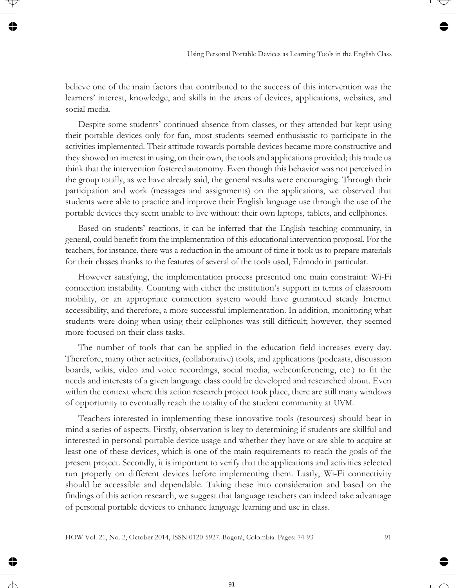believe one of the main factors that contributed to the success of this intervention was the learners' interest, knowledge, and skills in the areas of devices, applications, websites, and social media.

Despite some students' continued absence from classes, or they attended but kept using their portable devices only for fun, most students seemed enthusiastic to participate in the activities implemented. Their attitude towards portable devices became more constructive and they showed an interest in using, on their own, the tools and applications provided; this made us think that the intervention fostered autonomy. Even though this behavior was not perceived in the group totally, as we have already said, the general results were encouraging. Through their participation and work (messages and assignments) on the applications, we observed that students were able to practice and improve their English language use through the use of the portable devices they seem unable to live without: their own laptops, tablets, and cellphones.

Based on students' reactions, it can be inferred that the English teaching community, in general, could benefit from the implementation of this educational intervention proposal. For the teachers, for instance, there was a reduction in the amount of time it took us to prepare materials for their classes thanks to the features of several of the tools used, Edmodo in particular.

However satisfying, the implementation process presented one main constraint: Wi-Fi connection instability. Counting with either the institution's support in terms of classroom mobility, or an appropriate connection system would have guaranteed steady Internet accessibility, and therefore, a more successful implementation. In addition, monitoring what students were doing when using their cellphones was still difficult; however, they seemed more focused on their class tasks.

The number of tools that can be applied in the education field increases every day. Therefore, many other activities, (collaborative) tools, and applications (podcasts, discussion boards, wikis, video and voice recordings, social media, webconferencing, etc.) to fit the needs and interests of a given language class could be developed and researched about. Even within the context where this action research project took place, there are still many windows of opportunity to eventually reach the totality of the student community at UVM.

Teachers interested in implementing these innovative tools (resources) should bear in mind a series of aspects. Firstly, observation is key to determining if students are skillful and interested in personal portable device usage and whether they have or are able to acquire at least one of these devices, which is one of the main requirements to reach the goals of the present project. Secondly, it is important to verify that the applications and activities selected run properly on different devices before implementing them. Lastly, Wi-Fi connectivity should be accessible and dependable. Taking these into consideration and based on the findings of this action research, we suggest that language teachers can indeed take advantage of personal portable devices to enhance language learning and use in class.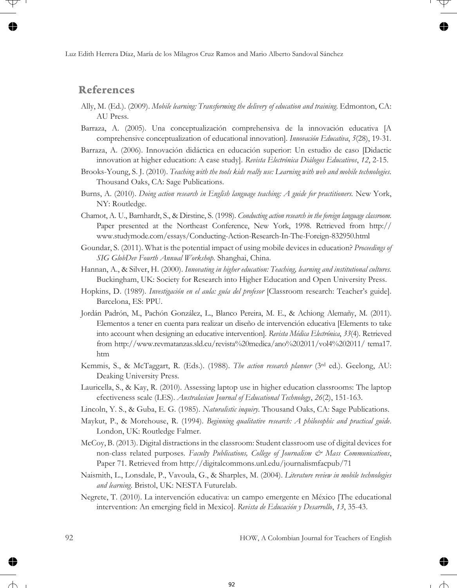#### **References**

- Ally, M. (Ed.). (2009). *Mobile learning: Transforming the delivery of education and training*. Edmonton, CA: AU Press.
- Barraza, A. (2005). Una conceptualización comprehensiva de la innovación educativa [A comprehensive conceptualization of educational innovation]. *Innovación Educativa*, *5*(28), 19-31.
- Barraza, A. (2006). Innovación didáctica en educación superior: Un estudio de caso [Didactic innovation at higher education: A case study]. *Revista Electrónica Diálogos Educativos*, *12*, 2-15.
- Brooks-Young, S. J. (2010). *Teaching with the tools kids really use: Learning with web and mobile technologies.* Thousand Oaks, CA: Sage Publications.
- Burns, A. (2010). *Doing action research in English language teaching: A guide for practitioners.* New York, NY: Routledge.
- Chamot, A. U., Barnhardt, S., & Dirstine, S. (1998). *Conducting action research in the foreign language classroom.* Paper presented at the Northeast Conference, New York, 1998. Retrieved from http:// www.studymode.com/essays/Conducting-Action-Research-In-The-Foreign-832950.html
- Goundar, S. (2011). What is the potential impact of using mobile devices in education? *Proceedings of SIG GlobDev Fourth Annual Workshop.* Shanghai, China.
- Hannan, A., & Silver, H. (2000). *Innovating in higher education: Teaching, learning and institutional cultures.* Buckingham, UK: Society for Research into Higher Education and Open University Press.
- Hopkins, D. (1989). *Investigación en el aula: guía del profesor* [Classroom research: Teacher's guide]. Barcelona, ES: PPU.
- Jordán Padrón, M., Pachón González, L., Blanco Pereira, M. E., & Achiong Alemañy, M. (2011). Elementos a tener en cuenta para realizar un diseño de intervención educativa [Elements to take into account when designing an educative intervention]. *Revista Médica Electrónica*, *33*(4). Retrieved from http://www.revmatanzas.sld.cu/revista%20medica/ano%202011/vol4%202011/ tema17. htm
- Kemmis, S., & McTaggart, R. (Eds.). (1988). *The action research planner* (3rd ed.). Geelong, AU: Deaking University Press.
- Lauricella, S., & Kay, R. (2010). Assessing laptop use in higher education classrooms: The laptop efectiveness scale (LES). *Australasian Journal of Educational Technology*, *26*(2), 151-163.
- Lincoln, Y. S., & Guba, E. G. (1985). *Naturalistic inquiry*. Thousand Oaks, CA: Sage Publications.
- Maykut, P., & Morehouse, R. (1994). *Beginning qualitative research: A philosophic and practical guide*. London, UK: Routledge Falmer.
- McCoy, B. (2013). Digital distractions in the classroom: Student classroom use of digital devices for non-class related purposes. *Faculty Publications, College of Journalism & Mass Communications*, Paper 71. Retrieved from http://digitalcommons.unl.edu/journalismfacpub/71
- Naismith, L., Lonsdale, P., Vavoula, G., & Sharples, M. (2004). *Literature review in mobile technologies and learning*. Bristol, UK: NESTA Futurelab.
- Negrete, T. (2010). La intervención educativa: un campo emergente en México [The educational intervention: An emerging field in Mexico]. *Revista de Educación y Desarrollo*, *13*, 35-43.